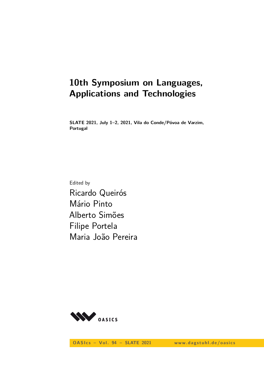# **10th Symposium on Languages, Applications and Technologies**

**SLATE 2021, July 1–2, 2021, Vila do Conde/Póvoa de Varzim, Portugal**

Edited by Ricardo Queirós Mário Pinto Alberto Simões Filipe Portela Maria João Pereira



OASIcs - Vol. 94 - SLATE 2021 www.dagstuhl.de/oasics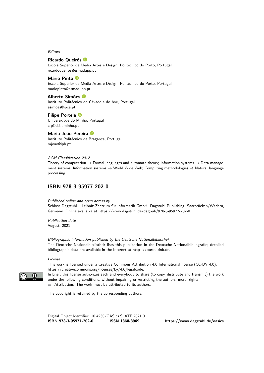Editors

#### **Ricardo Queirós**

Escola Superior de Media Artes e Design, Politécnico do Porto, Portugal [ricardoqueiros@esmad.ipp.pt](mailto:ricardoqueiros@esmad.ipp.pt)

#### **Mário Pinto**

Escola Superior de Media Artes e Design, Politécnico do Porto, Portugal [mariopinto@esmad.ipp.pt](mailto:mariopinto@esmad.ipp.pt)

#### **Alberto Simões**

Instituto Politécnico do Cávado e do Ave, Portugal [asimoes@ipca.pt](mailto:asimoes@ipca.pt)

#### **Filipe Portela** Universidade do Minho, Portugal [cfp@dsi.uminho.pt](mailto:cfp@dsi.uminho.pt)

#### **Maria João Pereira**

Instituto Politécnico de Bragança, Portugal [mjoao@ipb.pt](mailto:mjoao@ipb.pt)

#### ACM Classification 2012

Theory of computation  $\rightarrow$  Formal languages and automata theory; Information systems  $\rightarrow$  Data management systems; Information systems  $\rightarrow$  World Wide Web; Computing methodologies  $\rightarrow$  Natural language processing

# **[ISBN 978-3-95977-202-0](https://www.dagstuhl.de/dagpub/978-3-95977-202-0)**

#### Published online and open access by

Schloss Dagstuhl – Leibniz-Zentrum für Informatik GmbH, Dagstuhl Publishing, Saarbrücken/Wadern, Germany. Online available at [https://www.dagstuhl.de/dagpub/978-3-95977-202-0.](https://www.dagstuhl.de/dagpub/978-3-95977-202-0)

Publication date August, 2021

Bibliographic information published by the Deutsche Nationalbibliothek The Deutsche Nationalbibliothek lists this publication in the Deutsche Nationalbibliografie; detailed bibliographic data are available in the Internet at [https://portal.dnb.de.](https://portal.dnb.de)

#### License

This work is licensed under a Creative Commons Attribution 4.0 International license (CC-BY 4.0): [https://creativecommons.org/licenses/by/4.0/legalcode.](https://creativecommons.org/licenses/by/4.0/legalcode)

In brief, this license authorizes each and everybody to share (to copy, distribute and transmit) the work under the following conditions, without impairing or restricting the authors' moral rights:

Attribution: The work must be attributed to its authors.

The copyright is retained by the corresponding authors.

Digital Object Identifier: [10.4230/OASIcs.SLATE.2021.0](https://doi.org/10.4230/OASIcs.SLATE.2021.0) **[ISBN 978-3-95977-202-0](https://www.dagstuhl.de/dagpub/978-3-95977-202-0) [ISSN 1868-8969](https://www.dagstuhl.de/dagpub/1868-8969)<https://www.dagstuhl.de/oasics>**

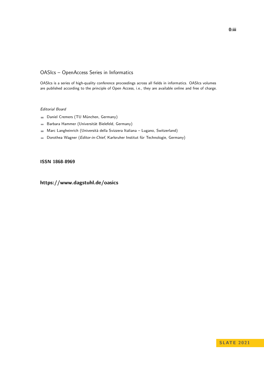## OASIcs – OpenAccess Series in Informatics

OASIcs is a series of high-quality conference proceedings across all fields in informatics. OASIcs volumes are published according to the principle of Open Access, i.e., they are available online and free of charge.

#### Editorial Board

- Daniel Cremers (TU München, Germany)
- Barbara Hammer (Universität Bielefeld, Germany)  $\equiv$
- Marc Langheinrich (Università della Svizzera Italiana Lugano, Switzerland)  $\equiv$
- Dorothea Wagner (Editor-in-Chief, Karlsruher Institut für Technologie, Germany)  $\equiv$

### **[ISSN 1868-8969](https://www.dagstuhl.de/dagpub/1868-8969)**

**<https://www.dagstuhl.de/oasics>**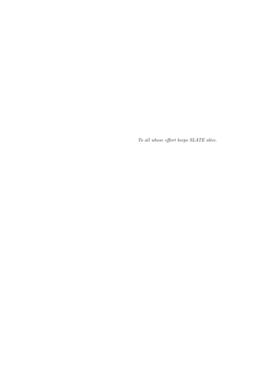*To all whose effort keeps SLATE alive.*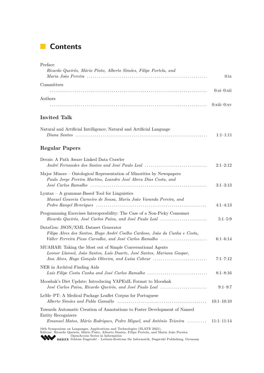# **Contents**

| Preface<br>Ricardo Queirós, Mário Pinto, Alberto Simões, Filipe Portela, and                                                                                                                                                                                                                            |               |
|---------------------------------------------------------------------------------------------------------------------------------------------------------------------------------------------------------------------------------------------------------------------------------------------------------|---------------|
| Committees                                                                                                                                                                                                                                                                                              | $0:xi-0:xi$   |
| Authors                                                                                                                                                                                                                                                                                                 | $0:xiii=0:xv$ |
| Invited Talk                                                                                                                                                                                                                                                                                            |               |
| Natural and Artificial Intelligence; Natural and Artificial Language                                                                                                                                                                                                                                    | $1:1-1:11$    |
| <b>Regular Papers</b>                                                                                                                                                                                                                                                                                   |               |
| Derzis: A Path Aware Linked Data Crawler<br>André Fernandes dos Santos and José Paulo Leal                                                                                                                                                                                                              | $2:1-2:12$    |
| Major Minors – Ontological Representation of Minorities by Newspapers<br>Paulo Jorge Pereira Martins, Leandro José Abreu Dias Costa, and                                                                                                                                                                | $3:1-3:13$    |
| $Lyntax - A grammar-Based Tool for Linguistics$<br>Manuel Gouveia Carneiro de Sousa, Maria João Varanda Pereira, and                                                                                                                                                                                    | $4:1-4:13$    |
| Programming Exercises Interoperability: The Case of a Non-Picky Consumer<br>Ricardo Queirós, José Carlos Paiva, and José Paulo Leal                                                                                                                                                                     | $5:1 - 5:9$   |
| DataGen: JSON/XML Dataset Generator<br>Filipa Alves dos Santos, Hugo André Coelho Cardoso, João da Cunha e Costa,<br>Válter Ferreira Picas Carvalho, and José Carlos Ramalho                                                                                                                            | $6:1-6:14$    |
| MUAHAH: Taking the Most out of Simple Conversational Agents<br>Leonor Llansol, João Santos, Luís Duarte, José Santos, Mariana Gaspar,<br>Ana Alves, Hugo Gonçalo Oliveira, and Luísa Coheur                                                                                                             | $7:1 - 7:12$  |
| NER in Archival Finding Aids<br>Luís Filipe Costa Cunha and José Carlos Ramalho                                                                                                                                                                                                                         | $8:1 - 8:16$  |
| Mooshak's Diet Update: Introducing YAPExIL Format to Mooshak<br>José Carlos Paiva, Ricardo Queirós, and José Paulo Leal                                                                                                                                                                                 | $9:1-9:7$     |
| LeMe–PT: A Medical Package Leaflet Corpus for Portuguese                                                                                                                                                                                                                                                | $10:1-10:10$  |
| Towards Automatic Creation of Annotations to Foster Development of Named<br>Entity Recognizers<br>Emanuel Matos, Mário Rodrigues, Pedro Miguel, and António Teixeira  11:1–11:14                                                                                                                        |               |
| 10th Symposium on Languages, Applications and Technologies (SLATE 2021).<br>Editors: Ricardo Queirós, Mário Pinto, Alberto Simões, Filipe Portela, and Maria João Pereira<br>OpenAccess Series in Informatics<br>0ASICS Schloss Dagstuhl - Leibniz-Zentrum für Informatik, Dagstuhl Publishing, Germany |               |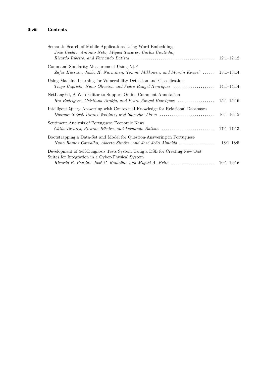| Semantic Search of Mobile Applications Using Word Embeddings<br>João Coelho, António Neto, Miguel Tavares, Carlos Coutinho,           |                |
|---------------------------------------------------------------------------------------------------------------------------------------|----------------|
|                                                                                                                                       | $12:1-12:12$   |
| Command Similarity Measurement Using NLP<br>Zafar Hussain, Jukka K. Nurminen, Tommi Mikkonen, and Marcin Kowiel                       | $13:1-13:14$   |
| Using Machine Learning for Vulnerability Detection and Classification<br>Tiago Baptista, Nuno Oliveira, and Pedro Rangel Henriques    | $14:1-14:14$   |
| NetLangEd, A Web Editor to Support Online Comment Annotation<br>Rui Rodrigues, Cristiana Araújo, and Pedro Rangel Henriques           | $15:1 - 15:16$ |
| Intelligent Query Answering with Contextual Knowledge for Relational Databases<br>Dietmar Seipel, Daniel Weidner, and Salvador Abreu  | $16:1 - 16:15$ |
| Sentiment Analysis of Portuguese Economic News<br>Cátia Tavares, Ricardo Ribeiro, and Fernando Batista                                | $17:1 - 17:13$ |
| Bootstrapping a Data-Set and Model for Question-Answering in Portuguese<br>Nuno Ramos Carvalho, Alberto Simões, and José João Almeida | $18:1-18:5$    |
| Development of Self-Diagnosis Tests System Using a DSL for Creating New Test<br>Suites for Integration in a Cyber-Physical System     |                |
| Ricardo B. Pereira, José C. Ramalho, and Miguel A. Brito                                                                              | $19:1 - 19:16$ |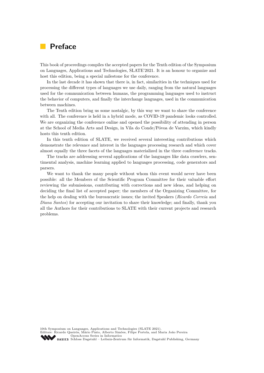# <span id="page-8-0"></span>**Preface**

This book of proceedings compiles the accepted papers for the Tenth edition of the Symposium on Languages, Applications and Technologies, SLATE'2021. It is an honour to organize and host this edition, being a special milestone for the conference.

In the last decade it has shown that there is, in fact, similarities in the techniques used for processing the different types of languages we use daily, ranging from the natural languages used for the communication between humans, the programming languages used to instruct the behavior of computers, and finally the interchange languages, used in the communication between machines.

The Tenth edition bring us some nostalgic, by this way we want to share the conference with all. The conference is held in a hybrid mode, as COVID-19 pandemic looks controlled. We are organizing the conference online and opened the possibility of attending in person at the School of Media Arts and Design, in Vila do Conde/Póvoa de Varzim, which kindly hosts this tenth edition.

In this tenth edition of SLATE, we received several interesting contributions which demonstrate the relevance and interest in the languages processing research and which cover almost equally the three facets of the languages materialized in the three conference tracks.

The tracks are addressing several applications of the languages like data crawlers, sentimental analysis, machine learning applied to languages processing, code generators and parsers.

We want to thank the many people without whom this event would never have been possible: all the Members of the Scientific Program Committee for their valuable effort reviewing the submissions, contributing with corrections and new ideas, and helping on deciding the final list of accepted paper; the members of the Organizing Committee, for the help on dealing with the bureaucratic issues; the invited Speakers (*Ricardo Correia* and *Diana Santos*) for accepting our invitation to share their knowledge; and finally, thank you all the Authors for their contributions to SLATE with their current projects and research problems.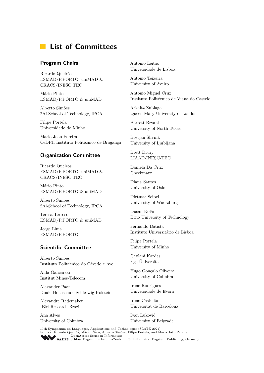# **List of Committees**

### **Program Chairs**

Ricardo Queirós ESMAD/P.PORTO, uniMAD & CRACS/INESC TEC

Mário Pinto ESMAD/P.PORTO & uniMAD

Alberto Simões 2Ai-School of Technology, IPCA

Filipe Portela Universidade do Minho

Maria Joao Pereira CeDRI, Instituto Politécnico de Bragança

### **Organization Committee**

Ricardo Queirós ESMAD/P.PORTO, uniMAD & CRACS/INESC TEC

Mário Pinto ESMAD/P.PORTO & uniMAD

Alberto Simões 2Ai-School of Technology, IPCA

Teresa Terroso ESMAD/P.PORTO & uniMAD

Jorge Lima ESMAD/P.PORTO

### <span id="page-10-0"></span>**Scientific Committee**

Alberto Simões Instituto Politécnico do Cávado e Ave

Alda Gancarski Institut Mines-Telecom

Alexander Paar Duale Hochschule Schleswig-Holstein

Alexandre Rademaker IBM Research Brazil

Ana Alves University of Coimbra Antonio Leitao Universidade de Lisboa

António Teixeira University of Aveiro

António Miguel Cruz Instituto Politécnico de Viana do Castelo

Arkaitz Zubiaga Queen Mary University of London

Barrett Bryant University of North Texas

Bostjan Slivnik University of Ljubljana

Brett Drury LIAAD-INESC-TEC

Daniela Da Cruz Checkmarx

Diana Santos University of Oslo

Dietmar Seipel University of Wuerzburg

Dušan Kolář Brno University of Technology

Fernando Batista Instituto Universitário de Lisboa

Filipe Portela University of Minho

Geylani Kardas Ege Üniversitesi

Hugo Gonçalo Oliveira University of Coimbra

Irene Rodrigues Universidade de Évora

Irene Castellón Universitat de Barcelona

Ivan Luković University of Belgrade

10th Symposium on Languages, Applications and Technologies (SLATE 2021). Editors: Ricardo Queirós, Mário Pinto, Alberto Simões, Filipe Portela, and Maria João Pereira [OpenAccess Series in Informatics](https://www.dagstuhl.de/oasics/) OPERACESS DELIG III INCLUSIVE IN THE Informatik, Dagstuhl Publishing, Germany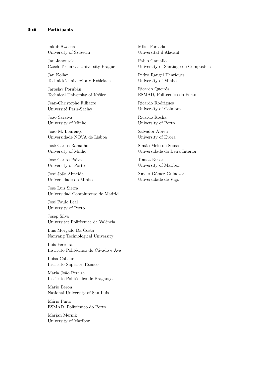Jakub Swacha University of Szczecin

Jan Janousek Czech Technical University Prague

Jan Kollar Technická univerzita v Košiciach

Jaroslav Porubän Technical University of Košice

Jean-Christophe Filliatre Université Paris-Saclay

João Saraiva University of Minho

João M. Lourenço Universidade NOVA de Lisboa

José Carlos Ramalho University of Minho

José Carlos Paiva University of Porto

José João Almeida Universidade do Minho

Jose Luis Sierra Universidad Complutense de Madrid

José Paulo Leal University of Porto

Josep Silva Universitat Politècnica de València

Luis Morgado Da Costa Nanyang Technological University

Luís Ferreira Instituto Politécnico do Cávado e Ave

Luísa Coheur Instituto Superior Técnico

Maria João Pereira Instituto Politécnico de Bragança

Mario Berón National University of San Luis

Mário Pinto ESMAD, Politécnico do Porto

Marjan Mernik University of Maribor Mikel Forcada Universitat d'Alacant

Pablo Gamallo University of Santiago de Compostela

Pedro Rangel Henriques University of Minho

Ricardo Queirós ESMAD, Politécnico do Porto

Ricardo Rodrigues University of Coimbra

Ricardo Rocha University of Porto

Salvador Abreu University of Évora

Simão Melo de Sousa Universidade da Beira Interior

Tomaz Kosar University of Maribor

Xavier Gómez Guinovart Universidade de Vigo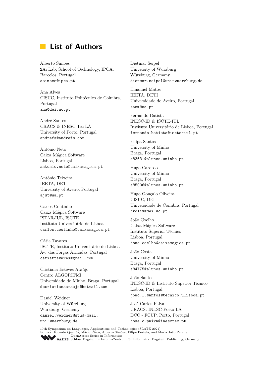# **List of Authors**

Alberto Simões 2Ai Lab, School of Technology, IPCA, Barcelos, Portugal <asimoes@ipca.pt>

Ana Alves CISUC, Instituto Politécnico de Coimbra, Portugal <ana@dei.uc.pt>

André Santos CRACS & INESC Tec LA University of Porto, Portugal <andrefs@andrefs.com>

António Neto Caixa Mágica Software Lisboa, Portugal <antonio.neto@caixamagica.pt>

António Teixeira IEETA, DETI University of Aveiro, Portugal <ajst@ua.pt>

Carlos Coutinho Caixa Mágica Software ISTAR-IUL, ISCTE Instituto Universitário de Lisboa <carlos.coutinho@caixamagica.pt>

Cátia Tavares ISCTE, Instituto Universitário de Lisboa Av. das Forças Armadas, Portugal <catiattavares@gmail.com>

Cristiana Esteves Araújo Centro ALGORITMI Universidade do Minho, Braga, Portugal <decristianaaraujo@hotmail.com>

Daniel Weidner University of Würzburg Würzburg, Germany [daniel.weidner@stud-mail.](daniel.weidner@stud-mail.uni-wuerzburg.de) [uni-wuerzburg.de](daniel.weidner@stud-mail.uni-wuerzburg.de)

Dietmar Seipel University of Würzburg Würzburg, Germany <dietmar.seipel@uni-wuerzburg.de>

Emanuel Matos IEETA, DETI Universidade de Aveiro, Portugal <easm@ua.pt>

Fernando Batista INESC-ID & ISCTE-IUL Instituto Universitário de Lisboa, Portugal <fernando.batista@iscte-iul.pt>

Filipa Santos University of Minho Braga, Portugal <a83631@alunos.uminho.pt>

Hugo Cardoso University of Minho Braga, Portugal <a85006@alunos.uminho.pt>

Hugo Gonçalo Oliveira CISUC, DEI Universidade de Coimbra, Portugal <hroliv@dei.uc.pt>

João Coelho Caixa Mágica Software Instituto Superior Técnico Lisboa, Portugal <joao.coelho@caixamagica.pt>

João Costa University of Minho Braga, Portugal <a84775@alunos.uminho.pt>

João Santos INESC-ID & Instituto Superior Técnico Lisboa, Portugal <joao.l.santos@tecnico.ulisboa.pt>

José Carlos Paiva CRACS: INESC-Porto LA DCC - FCUP, Porto, Portugal <jose.c.paiva@inesctec.pt>

10th Symposium on Languages, Applications and Technologies (SLATE 2021). Editors: Ricardo Queirós, Mário Pinto, Alberto Simões, Filipe Portela, and Maria João Pereira [OpenAccess Series in Informatics](https://www.dagstuhl.de/oasics/) ORSICS [Schloss Dagstuhl – Leibniz-Zentrum für Informatik, Dagstuhl Publishing, Germany](https://www.dagstuhl.de)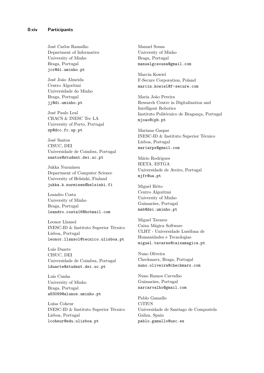José Carlos Ramalho Department of Informatics University of Minho Braga, Portugal <jcr@di.uminho.pt>

José João Almeida Centro Algoritmi Universidade do Minho Braga, Portugal <jj@di.uminho.pt>

José Paulo Leal CRACS & INESC Tec LA University of Porto, Portugal <zp@dcc.fc.up.pt>

José Santos CISUC, DEI Universidade de Coimbra, Portugal <santos@student.dei.uc.pt>

Jukka Nurminen Department of Computer Science University of Helsinki, Finland <jukka.k.nurminen@helsinki.fi>

Leandro Costa University of Minho Braga, Portugal [leandro.costa16@hotmail.com]( leandro.costa16@hotmail.com)

Leonor Llansol INESC-ID & Instituto Superior Técnico Lisboa, Portugal <leonor.llansol@tecnico.ulisboa.pt>

Luís Duarte CISUC, DEI Universidade de Coimbra, Portugal <lduarte@student.dei.uc.pt>

Luís Cunha University of Minho Braga, Portugal <a83099@alunos.uminho.pt>

Luísa Coheur INESC-ID & Instituto Superior Técnico Lisboa, Portugal <lcoheur@edu.ulisboa.pt>

Manuel Sousa University of Minho Braga, Portugal <manuelgcsousa@gmail.com>

Marcin Kowiel F-Secure Corporation, Poland <marcin.kowiel@f-secure.com>

Maria João Pereira Research Centre in Digitalization and Intelligent Robotics Instituto Politécnico de Bragança, Portugal <mjoao@ipb.pt>

Mariana Gaspar INESC-ID & Instituto Superior Técnico Lisboa, Portugal <mariarpx@gmail.com>

Mário Rodrigues IEETA, ESTGA Universidade de Aveiro, Portugal <mjfr@ua.pt>

Miguel Brito Centro Algoritmi University of Minho Guimarães, Portugal <mab@dsi.uminho.pt>

Miguel Tavares Caixa Mágica Software ULHT - Universidade Lusófona de Humanidades e Tecnologias <miguel.tavares@caixamagica.pt>

Nuno Oliveira Checkmarx, Braga, Portugal <nuno.oliveira@checkmarx.com>

Nuno Ramos Carvalho Guimarães, Portugal <narcarvalho@gmail.com>

Pablo Gamallo **CiTIUS** Universidade de Santiago de Compostela Galiza, Spain <pablo.gamallo@usc.es>